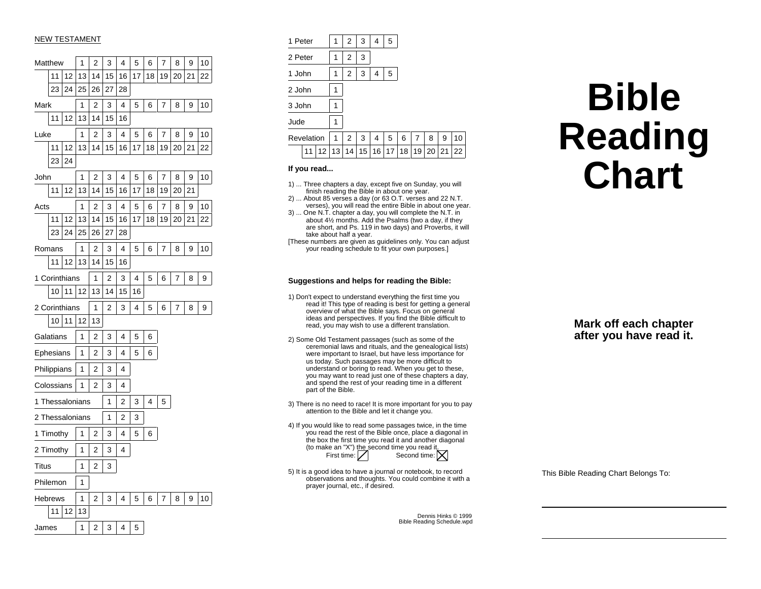# NEW TESTAMENT

|          | Matthew         |    | 1  | 2                       | 3  | 4  | 5  | 6  | 7  | 8  | 9  | 10 |
|----------|-----------------|----|----|-------------------------|----|----|----|----|----|----|----|----|
|          | 11<br>12        |    | 13 | 14                      | 15 | 16 | 17 | 18 | 19 | 20 | 21 | 22 |
|          | 23              | 24 | 25 | 26                      | 27 | 28 |    |    |    |    |    |    |
| Mark     |                 |    | 1  | $\overline{2}$          | 3  | 4  | 5  | 6  | 7  | 8  | 9  | 10 |
|          | 11              | 12 | 13 | 14                      | 15 | 16 |    |    |    |    |    |    |
| Luke     |                 |    | 1  | $\overline{\mathbf{c}}$ | 3  | 4  | 5  | 6  | 7  | 8  | 9  | 10 |
|          | 11              | 12 | 13 | 14                      | 15 | 16 | 17 | 18 | 19 | 20 | 21 | 22 |
| 23<br>24 |                 |    |    |                         |    |    |    |    |    |    |    |    |
| John     |                 |    | 1  | 2                       | 3  | 4  | 5  | 6  | 7  | 8  | 9  | 10 |
|          | 11              | 12 | 13 | 14                      | 15 | 16 | 17 | 18 | 19 | 20 | 21 |    |
| Acts     |                 |    | 1  | 2                       | 3  | 4  | 5  | 6  | 7  | 8  | 9  | 10 |
|          | 11              | 12 | 13 | 14                      | 15 | 16 | 17 | 18 | 19 | 20 | 21 | 22 |
|          | 23              | 24 | 25 | 26                      | 27 | 28 |    |    |    |    |    |    |
|          | Romans          |    | 1  | 2                       | 3  | 4  | 5  | 6  | 7  | 8  | 9  | 10 |
|          | 11              | 12 | 13 | 14                      | 15 | 16 |    |    |    |    |    |    |
|          | 1 Corinthians   |    |    | 1                       | 2  | 3  | 4  | 5  | 6  | 7  | 8  | 9  |
|          | 10<br>11<br>12  |    |    | 13                      | 14 | 15 | 16 |    |    |    |    |    |
|          | 2 Corinthians   |    |    | 1                       | 2  | 3  | 4  | 5  | 6  | 7  | 8  | 9  |
|          | 10              | 11 | 12 | 13                      |    |    |    |    |    |    |    |    |
|          | Galatians       |    | 1  | 2                       | 3  | 4  | 5  | 6  |    |    |    |    |
|          | Ephesians       |    | 1  | $\overline{c}$          | 3  | 4  | 5  | 6  |    |    |    |    |
|          | Philippians     |    | 1  | 2                       | 3  | 4  |    |    |    |    |    |    |
|          | Colossians      |    | 1  | 2                       | 3  | 4  |    |    |    |    |    |    |
|          | 1 Thessalonians |    |    |                         | 1  | 2  | 3  | 4  | 5  |    |    |    |
|          | 2 Thessalonians |    |    |                         | 1  | 2  | 3  |    |    |    |    |    |
|          | 1 Timothy       |    | 1  | 2                       | 3  | 4  | 5  | 6  |    |    |    |    |
|          | 2 Timothy       |    | 1  | 2                       | 3  | 4  |    |    |    |    |    |    |
| Titus    |                 |    | 1  | 2                       | 3  |    |    |    |    |    |    |    |
|          | Philemon        |    | 1  |                         |    |    |    |    |    |    |    |    |
|          | <b>Hebrews</b>  |    | 1  | 2                       | 3  | 4  | 5  | 6  | 7  | 8  | 9  | 10 |
| 12<br>11 |                 |    | 13 |                         |    |    |    |    |    |    |    |    |
| James    |                 |    | 1  | 2                       | 3  | 4  | 5  |    |    |    |    |    |

| 1 Peter    |    |    | 1  | 2  | 3  | 4  | 5  |    |    |    |    |    |
|------------|----|----|----|----|----|----|----|----|----|----|----|----|
| 2 Peter    |    |    | 1  | 2  | 3  |    |    |    |    |    |    |    |
| 1 John     |    |    | 1  | 2  | 3  | 4  | 5  |    |    |    |    |    |
| 2 John     |    |    | 1  |    |    |    |    |    |    |    |    |    |
| 3 John     |    |    | 1  |    |    |    |    |    |    |    |    |    |
| Jude       |    |    | 1  |    |    |    |    |    |    |    |    |    |
| Revelation |    |    | 1  | 2  | 3  | 4  | 5  | 6  | 7  | 8  | 9  | 10 |
|            | 11 | 12 | 13 | 14 | 15 | 16 | 17 | 18 | 19 | 20 | 21 | 22 |

### **If you read...**

- 1) ... Three chapters a day, except five on Sunday, you will finish reading the Bible in about one year.
- 2) ... About 85 verses a day (or 63 O.T. verses and 22 N.T. verses), you will read the entire Bible in about one year.
- 3) ... One N.T. chapter a day, you will complete the N.T. in about 4½ months. Add the Psalms (two a day, if they are short, and Ps. 119 in two days) and Proverbs, it will take about half a year.
- [These numbers are given as guidelines only. You can adjust your reading schedule to fit your own purposes.]

### **Suggestions and helps for reading the Bible:**

- 1) Don't expect to understand everything the first time you read it! This type of reading is best for getting a general overview of what the Bible says. Focus on general ideas and perspectives. If you find the Bible difficult to read, you may wish to use a different translation.
- 2) Some Old Testament passages (such as some of the ceremonial laws and rituals, and the genealogical lists) were important to Israel, but have less importance for us today. Such passages may be more difficult to understand or boring to read. When you get to these, you may want to read just one of these chapters a day, and spend the rest of your reading time in a different part of the Bible.
- 3) There is no need to race! It is more important for you to pay attention to the Bible and let it change you.
- 4) If you would like to read some passages twice, in the time you read the rest of the Bible once, place a diagonal in the box the first time you read it and another diagonal (to make an "X") the second time you read it.<br>First time:  $\boxed{\nearrow}$  Second time:  $\boxed{\triangleright}$
- 5) It is a good idea to have a journal or notebook, to record observations and thoughts. You could combine it with a prayer journal, etc., if desired.

Dennis Hinks © 1999Bible Reading Schedule.wpd

# **BibleReading Chart**

**Mark off each chapter after you have read it.**

This Bible Reading Chart Belongs To: